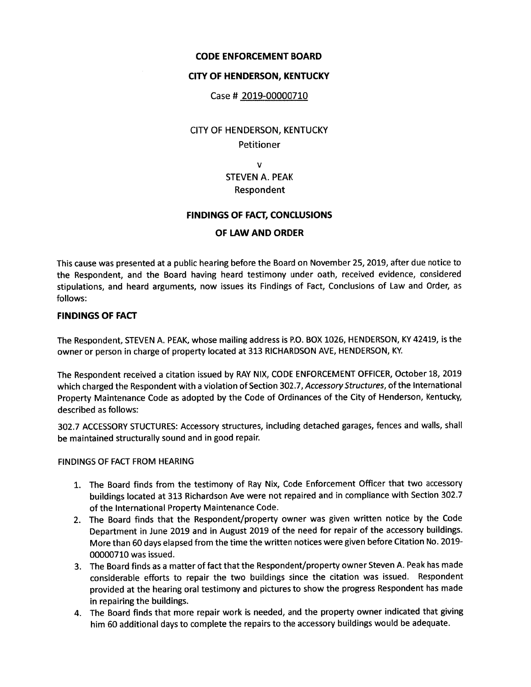## CODE ENFORCEMENT BOARD

## CITY OF HENDERSON, KENTUCKY

### Case # 2019-00000710

# CITY OF HENDERSON, KENTUCKY Petitioner

## v STEVEN A. PEAK Respondent

### FINDINGS OF FACT, CONCLUSIONS

## OF LAW AND ORDER

This cause was presented at a public hearing before the Board on November 25, 2019, after due notice to the Respondent, and the Board having heard testimony under oath, received evidence, considered stipulations, and heard arguments, now issues its Findings of Fact, Conclusions of Law and Order, as follows:

### FINDINGS OF FACT

The Respondent, STEVEN A. PEAK, whose mailing address is p.o. BOX 1026, HENDERSON, KY 42419, is the owner or person in charge of property located at 313 RICHARDSON AVE, HENDERSON, KY.

The Respondent received a citation issued by RAY NIX, CODE ENFORCEMENT OFFICER, October 18, 2019 which charged the Respondent with a violation of Section 302.7, Accessory Structures, of the International Property Maintenance Code as adopted by the Code of Ordinances of the City of Henderson, Kentucky, described as follows:

302.7 ACCESSORY STUCTURES: Accessory structures, including detached garages, fences and walls, shall be maintained structurally sound and in good repair.

#### FINDINGS OF FACT FROM HEARING

- 1. The Board finds from the testimony of Ray Nix, Code Enforcement Officer that two accessory buildings located at 313 Richardson Ave were not repaired and in compliance with Section 302.7 of the International Property Maintenance Code.
- 2. The Board finds that the Respondent/property owner was given written notice by the Code Department in June 2019 and in August 2019 of the need for repair of the accessory buildings. More than 60 days elapsed from the time the written notices were given before Citation No. 2019- 00000710 was issued.
- 3. The Board finds as a matter of fact that the Respondent/property owner Steven A. Peak has made considerable efforts to repair the two buildings since the citation was issued. Respondent provided at the hearing oral testimony and pictures to show the progress Respondent has made in repairing the buildings.
- 4. The Board finds that more repair work is needed, and the property owner indicated that giving him 60 additional days to complete the repairs to the accessory buildings would be adequate.